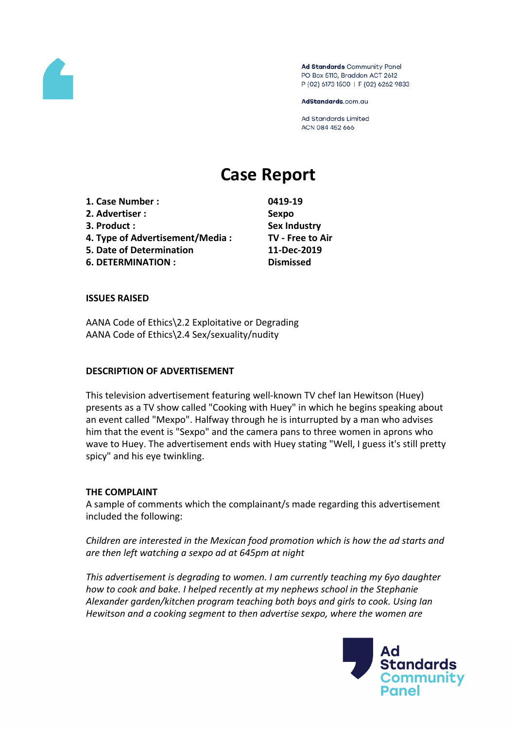

Ad Standards Community Panel PO Box 5110, Braddon ACT 2612 P (02) 6173 1500 | F (02) 6262 9833

AdStandards.com.au

**Ad Standards Limited** ACN 084 452 666

# **Case Report**

**1. Case Number : 0419-19 2. Advertiser : Sexpo 3. Product : Sex Industry 4. Type of Advertisement/Media : TV - Free to Air 5. Date of Determination 11-Dec-2019 6. DETERMINATION : Dismissed**

## **ISSUES RAISED**

AANA Code of Ethics\2.2 Exploitative or Degrading AANA Code of Ethics\2.4 Sex/sexuality/nudity

## **DESCRIPTION OF ADVERTISEMENT**

This television advertisement featuring well-known TV chef Ian Hewitson (Huey) presents as a TV show called "Cooking with Huey" in which he begins speaking about an event called "Mexpo". Halfway through he is inturrupted by a man who advises him that the event is "Sexpo" and the camera pans to three women in aprons who wave to Huey. The advertisement ends with Huey stating "Well, I guess it's still pretty spicy" and his eye twinkling.

## **THE COMPLAINT**

A sample of comments which the complainant/s made regarding this advertisement included the following:

*Children are interested in the Mexican food promotion which is how the ad starts and are then left watching a sexpo ad at 645pm at night*

*This advertisement is degrading to women. I am currently teaching my 6yo daughter how to cook and bake. I helped recently at my nephews school in the Stephanie Alexander garden/kitchen program teaching both boys and girls to cook. Using Ian Hewitson and a cooking segment to then advertise sexpo, where the women are*

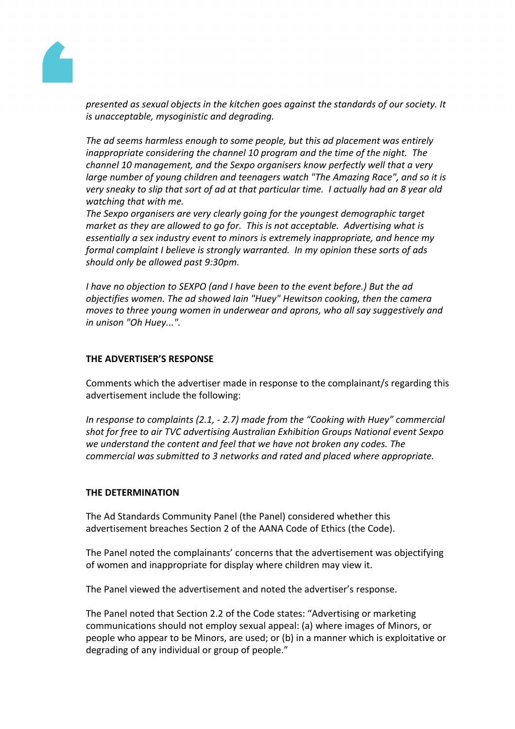

*presented as sexual objects in the kitchen goes against the standards of our society. It is unacceptable, mysoginistic and degrading.*

*The ad seems harmless enough to some people, but this ad placement was entirely inappropriate considering the channel 10 program and the time of the night. The channel 10 management, and the Sexpo organisers know perfectly well that a very large number of young children and teenagers watch "The Amazing Race", and so it is very sneaky to slip that sort of ad at that particular time. I actually had an 8 year old watching that with me.*

*The Sexpo organisers are very clearly going for the youngest demographic target market as they are allowed to go for. This is not acceptable. Advertising what is essentially a sex industry event to minors is extremely inappropriate, and hence my formal complaint I believe is strongly warranted. In my opinion these sorts of ads should only be allowed past 9:30pm.*

*I have no objection to SEXPO (and I have been to the event before.) But the ad objectifies women. The ad showed Iain "Huey" Hewitson cooking, then the camera moves to three young women in underwear and aprons, who all say suggestively and in unison "Oh Huey...".*

## **THE ADVERTISER'S RESPONSE**

Comments which the advertiser made in response to the complainant/s regarding this advertisement include the following:

*In response to complaints (2.1, - 2.7) made from the "Cooking with Huey" commercial shot for free to air TVC advertising Australian Exhibition Groups National event Sexpo we understand the content and feel that we have not broken any codes. The commercial was submitted to 3 networks and rated and placed where appropriate.*

## **THE DETERMINATION**

The Ad Standards Community Panel (the Panel) considered whether this advertisement breaches Section 2 of the AANA Code of Ethics (the Code).

The Panel noted the complainants' concerns that the advertisement was objectifying of women and inappropriate for display where children may view it.

The Panel viewed the advertisement and noted the advertiser's response.

The Panel noted that Section 2.2 of the Code states: "Advertising or marketing communications should not employ sexual appeal: (a) where images of Minors, or people who appear to be Minors, are used; or (b) in a manner which is exploitative or degrading of any individual or group of people."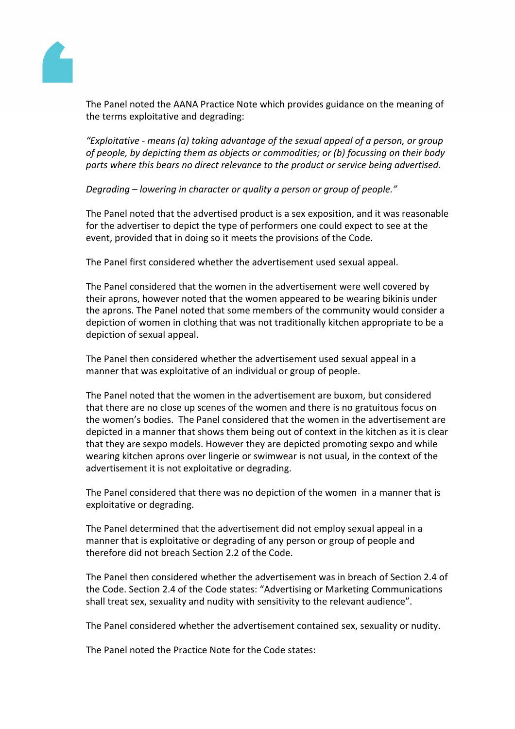

The Panel noted the AANA Practice Note which provides guidance on the meaning of the terms exploitative and degrading:

*"Exploitative - means (a) taking advantage of the sexual appeal of a person, or group of people, by depicting them as objects or commodities; or (b) focussing on their body parts where this bears no direct relevance to the product or service being advertised.*

*Degrading – lowering in character or quality a person or group of people."*

The Panel noted that the advertised product is a sex exposition, and it was reasonable for the advertiser to depict the type of performers one could expect to see at the event, provided that in doing so it meets the provisions of the Code.

The Panel first considered whether the advertisement used sexual appeal.

The Panel considered that the women in the advertisement were well covered by their aprons, however noted that the women appeared to be wearing bikinis under the aprons. The Panel noted that some members of the community would consider a depiction of women in clothing that was not traditionally kitchen appropriate to be a depiction of sexual appeal.

The Panel then considered whether the advertisement used sexual appeal in a manner that was exploitative of an individual or group of people.

The Panel noted that the women in the advertisement are buxom, but considered that there are no close up scenes of the women and there is no gratuitous focus on the women's bodies. The Panel considered that the women in the advertisement are depicted in a manner that shows them being out of context in the kitchen as it is clear that they are sexpo models. However they are depicted promoting sexpo and while wearing kitchen aprons over lingerie or swimwear is not usual, in the context of the advertisement it is not exploitative or degrading.

The Panel considered that there was no depiction of the women in a manner that is exploitative or degrading.

The Panel determined that the advertisement did not employ sexual appeal in a manner that is exploitative or degrading of any person or group of people and therefore did not breach Section 2.2 of the Code.

The Panel then considered whether the advertisement was in breach of Section 2.4 of the Code. Section 2.4 of the Code states: "Advertising or Marketing Communications shall treat sex, sexuality and nudity with sensitivity to the relevant audience".

The Panel considered whether the advertisement contained sex, sexuality or nudity.

The Panel noted the Practice Note for the Code states: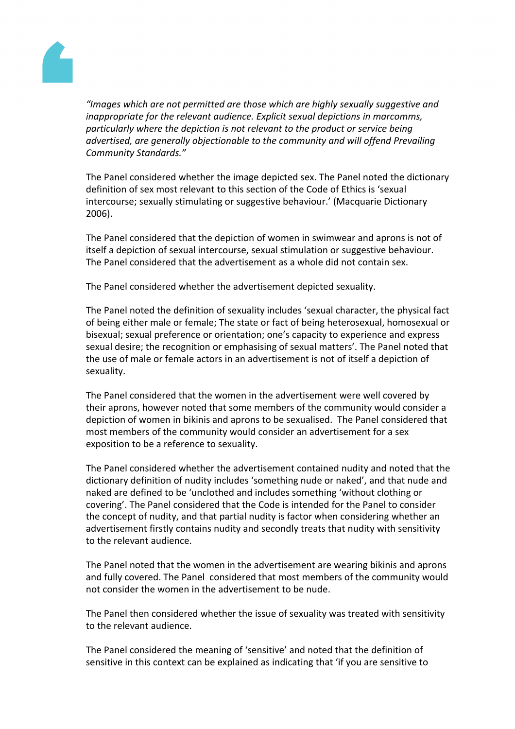

*"Images which are not permitted are those which are highly sexually suggestive and inappropriate for the relevant audience. Explicit sexual depictions in marcomms, particularly where the depiction is not relevant to the product or service being advertised, are generally objectionable to the community and will offend Prevailing Community Standards."*

The Panel considered whether the image depicted sex. The Panel noted the dictionary definition of sex most relevant to this section of the Code of Ethics is 'sexual intercourse; sexually stimulating or suggestive behaviour.' (Macquarie Dictionary 2006).

The Panel considered that the depiction of women in swimwear and aprons is not of itself a depiction of sexual intercourse, sexual stimulation or suggestive behaviour. The Panel considered that the advertisement as a whole did not contain sex.

The Panel considered whether the advertisement depicted sexuality.

The Panel noted the definition of sexuality includes 'sexual character, the physical fact of being either male or female; The state or fact of being heterosexual, homosexual or bisexual; sexual preference or orientation; one's capacity to experience and express sexual desire; the recognition or emphasising of sexual matters'. The Panel noted that the use of male or female actors in an advertisement is not of itself a depiction of sexuality.

The Panel considered that the women in the advertisement were well covered by their aprons, however noted that some members of the community would consider a depiction of women in bikinis and aprons to be sexualised. The Panel considered that most members of the community would consider an advertisement for a sex exposition to be a reference to sexuality.

The Panel considered whether the advertisement contained nudity and noted that the dictionary definition of nudity includes 'something nude or naked', and that nude and naked are defined to be 'unclothed and includes something 'without clothing or covering'. The Panel considered that the Code is intended for the Panel to consider the concept of nudity, and that partial nudity is factor when considering whether an advertisement firstly contains nudity and secondly treats that nudity with sensitivity to the relevant audience.

The Panel noted that the women in the advertisement are wearing bikinis and aprons and fully covered. The Panel considered that most members of the community would not consider the women in the advertisement to be nude.

The Panel then considered whether the issue of sexuality was treated with sensitivity to the relevant audience.

The Panel considered the meaning of 'sensitive' and noted that the definition of sensitive in this context can be explained as indicating that 'if you are sensitive to